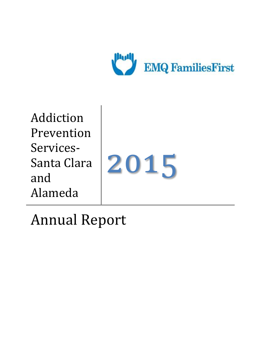

Addiction Prevention Services-Santa Clara and Alameda

# 2015

Annual Report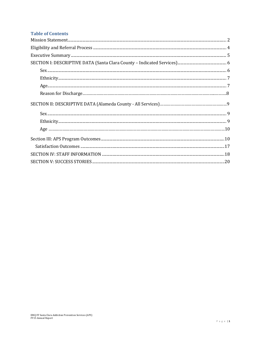## **Table of Contents**

| Sex. 66 |  |  |  |
|---------|--|--|--|
|         |  |  |  |
|         |  |  |  |
|         |  |  |  |
|         |  |  |  |
|         |  |  |  |
|         |  |  |  |
|         |  |  |  |
|         |  |  |  |
|         |  |  |  |
|         |  |  |  |
|         |  |  |  |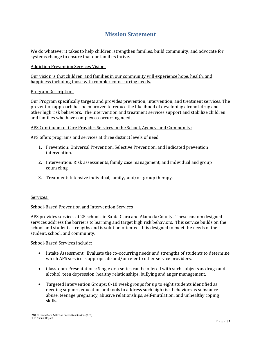# **Mission Statement**

<span id="page-2-0"></span>We do whatever it takes to help children, strengthen families, build community, and advocate for systems change to ensure that our families thrive.

Addiction Prevention Services Vision:

Our vision is that children and families in our community will experience hope, health, and happiness including those with complex co-occurring needs.

#### Program Description:

Our Program specifically targets and provides prevention, intervention, and treatment services. The prevention approach has been proven to reduce the likelihood of developing alcohol, drug and other high risk behaviors. The intervention and treatment services support and stabilize children and families who have complex co-occurring needs.

APS Continuum of Care Provides Services in the School, Agency, and Community:

APS offers programs and services at three distinct levels of need.

- 1. Prevention: Universal Prevention, Selective Prevention, and Indicated prevention intervention.
- 2. Intervention: Risk assessments, family case management, and individual and group counseling.
- 3. Treatment: Intensive individual, family, and/or group therapy.

#### Services:

## School-Based Prevention and Intervention Services

APS provides services at 25 schools in Santa Clara and Alameda County. These custom designed services address the barriers to learning and target high risk behaviors. This service builds on the school and students strengths and is solution oriented. It is designed to meet the needs of the student, school, and community.

#### School-Based Services include:

- Intake Assessment: Evaluate the co-occurring needs and strengths of students to determine which APS service is appropriate and/or refer to other service providers.
- Classroom Presentations: Single or a series can be offered with such subjects as drugs and alcohol, teen depression, healthy relationships, bullying and anger management.
- Targeted Intervention Groups: 8-10 week groups for up to eight students identified as needing support, education and tools to address such high risk behaviors as substance abuse, teenage pregnancy, abusive relationships, self-mutilation, and unhealthy coping skills.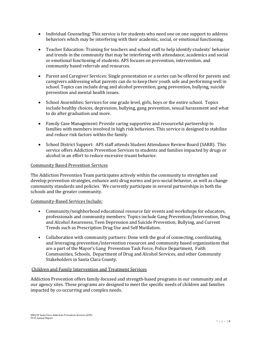- Individual Counseling: This service is for students who need one on one support to address behaviors which may be interfering with their academic, social, or emotional functioning.
- Teacher Education: Training for teachers and school staff to help identify students' behavior and trends in the community that may be interfering with attendance, academics and social or emotional functioning of students. APS focuses on prevention, intervention, and community based referrals and resources.
- Parent and Caregiver Services: Single presentation or a series can be offered for parents and caregivers addressing what parents can do to keep their youth safe and performing well in school. Topics can include drug and alcohol prevention, gang prevention, bullying, suicide prevention and mental health issues.
- School Assemblies: Services for one grade level, girls, boys or the entire school. Topics include healthy choices, depression, bullying, gang prevention, sexual harassment and what to do after graduation and more.
- Family Case Management: Provide caring supportive and resourceful partnership to families with members involved in high risk behaviors. This service is designed to stabilize and reduce risk factors within the family.
- School District Support: APS staff attends Student Attendance Review Board (SARB). This service offers Addiction Prevention Services to students and families impacted by drugs or alcohol in an effort to reduce excessive truant behavior.

#### Community Based Prevention Services

The Addiction Prevention Team participates actively within the community to strengthen and develop prevention strategies, enhance anti-drug norms and pro-social behavior, as well as change community standards and policies. We currently participate in several partnerships in both the schools and the greater community.

#### Community-Based Services Include:

- Community/neighborhood educational resource fair events and workshops for educators, professionals and community members: Topics include Gang Prevention/Intervention, Drug and Alcohol Awareness, Teen Depression and Suicide Prevention, Bullying, and Current Trends such as Prescription Drug Use and Self Mutilation.
- Collaboration with community partners: Done with the goal of connecting, coordinating, and leveraging prevention/intervention resources and community based organizations that are a part of the Mayor's Gang Prevention Task Force, Police Department, Faith Communities, Schools, Department of Drug and Alcohol Services, and other Community Stakeholders in Santa Clara County.

#### Children and Family Intervention and Treatment Services

Addiction Prevention offers family-focused and strength-based programs in our community and at our agency sites. These programs are designed to meet the specific needs of children and families impacted by co-occurring and complex needs.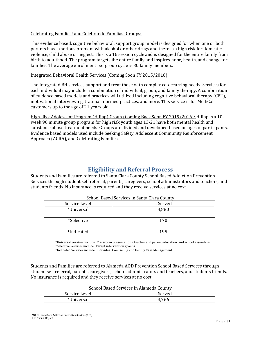#### Celebrating Families! and Celebrando Familias! Groups:

This evidence based, cognitive behavioral, support group model is designed for when one or both parents have a serious problem with alcohol or other drugs and there is a high risk for domestic violence, child abuse or neglect. This is a 16 session cycle and is designed for the entire family from birth to adulthood. The program targets the entire family and inspires hope, health, and change for families. The average enrollment per group cycle is 30 family members.

#### Integrated Behavioral Health Services (Coming Soon FY 2015/2016):

The Integrated BH services support and treat those with complex co-occurring needs. Services for each individual may include a combination of individual, group, and family therapy. A combination of evidence based models and practices will utilized including cognitive behavioral therapy (CBT), motivational interviewing, trauma informed practices, and more. This service is for MediCal customers up to the age of 21 years old.

High Risk Adolescent Program (HiRap) Group (Coming Back Soon FY 2015/2016): HiRap is a 10 week 90 minute group program for high risk youth ages 13-21 have both mental health and substance abuse treatment needs. Groups are divided and developed based on ages of participants. Evidence based models used include Seeking Safety, Adolescent Community Reinforcement Approach (ACRA), and Celebrating Families.

# **Eligibility and Referral Process**

<span id="page-4-0"></span>Students and Families are referred to Santa Clara County School Based Addiction Prevention Services through student self referral, parents, caregivers, school administrators and teachers, and students friends. No insurance is required and they receive services at no cost.

| <u>School Dascu Sci vices in Santa Clara County</u> |         |  |
|-----------------------------------------------------|---------|--|
| Service Level                                       | #Served |  |
| *Universal                                          | 4,880   |  |
| *Selective                                          | 170     |  |
| *Indicated                                          | 195     |  |

|  |  | School Based Services in Santa Clara County |  |  |
|--|--|---------------------------------------------|--|--|
|  |  |                                             |  |  |

 \*Universal Services include: Classroom presentations, teacher and parent education, and school assemblies. \*Selective Services include: Target intervention groups

\*Indicated Services include: Individual Counseling and Family Case Management

Students and Families are referred to Alameda AOD Prevention School Based Services through student self referral, parents, caregivers, school administrators and teachers, and students friends. No insurance is required and they receive services at no cost.

|--|

| Service Level | #Served |
|---------------|---------|
| Universal     | 3,766   |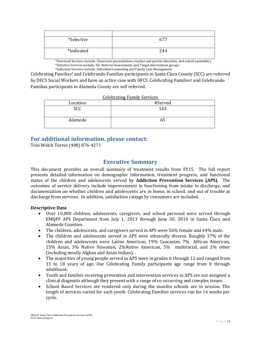| *Selective | 677 |
|------------|-----|
| *Indicated | 244 |

 \*Universal Services include: Classroom presentations, teacher and parent education, and school assemblies. \*Selective Services include: ID/ Referral Assessments and Target intervention groups

\*Indicated Services include: Individual Counseling and Family Case Management

Celebrating Families! and Celebrando Familias participants in Santa Clara County (SCC) are referred by DFCS Social Workers and have an active case with DFCS. Celebrating Families! and Celebrando Familias participants in Alameda County are self referred.

| <b>Celebrating Family Services</b> |  |
|------------------------------------|--|
|                                    |  |

| Location | #Served |
|----------|---------|
| SCC      | 163     |
| Alameda  | ხჂ      |

# **For additional information, please contact:**

Toni Welch Torres (408) 876-4271

# **Executive Summary**

<span id="page-5-0"></span>This document provides an overall summary of treatment results from FY15. The full report presents detailed information on demographic information, treatment progress, and functional status of the children and adolescents served by **Addiction Prevention Services (APS)**. The outcomes of service delivery include improvements in functioning from intake to discharge, and documentation on whether children and adolescents are in home, in school, and out of trouble at discharge from services. In addition, satisfaction ratings by consumers are included.

## **Descriptive Data**

- Over 10,000 children, adolescents, caregivers, and school personal were served through EMQFF APS Department from July 1, 2013 through June 30, 2014 in Santa Clara and Alameda Counties.
- The children, adolescents, and caregivers served in APS were 56% female and 44% male.
- The children and adolescents served in APS were ethnically diverse. Roughly 37% of the children and adolescents were Latino American, 19% Caucasian, 7% African American, 25% Asian, 3% Native Hawaiian, 2%Native American, 5% multiracial, and 2% other (including mostly Afghan and Asian Indian). .
- The majorities of young people served in APS were in grades 6 through 12 and ranged from 11 to 18 years of age. Our Celebrating Family participants age range from 0 through adulthood.
- Youth and families receiving prevention and intervention services in APS are not assigned a clinical diagnosis although they present with a range of co-occurring and complex issues.
- School Based Services are rendered only during the months schools are in session. The length of services varied for each youth. Celebrating Families services run for 16 weeks per cycle.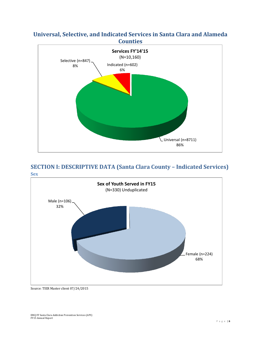# **Universal, Selective, and Indicated Services in Santa Clara and Alameda Counties**



# <span id="page-6-0"></span>**SECTION I: DESCRIPTIVE DATA (Santa Clara County – Indicated Services) Sex**

<span id="page-6-1"></span>

Source: TIER Master client 07/24/2015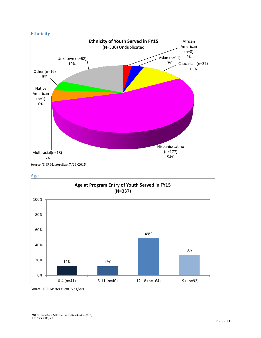#### <span id="page-7-0"></span>**Ethnicity**



<span id="page-7-1"></span>Source: TIER Masterclient 7/24/2015.



Age

Source: TIER Master client 7/24/2015.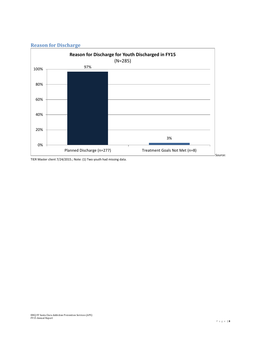



TIER Master client 7/24/2015.; Note: (1) Two youth had missing data.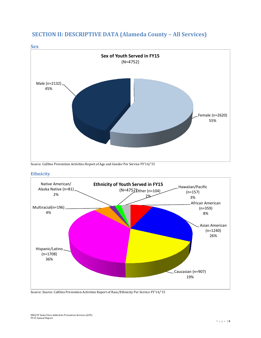



Source: CalOms Prevention Activities Report of Age and Gender Per Service FY'14/'15

#### **Ethnicity**



Source: Source: CalOms Prevention Activities Report of Race/Ethnicity Per Service FY'14/'15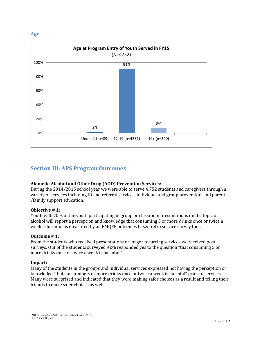#### **Age**



# <span id="page-10-0"></span>**Section III: APS Program Outcomes**

## **Alameda Alcohol and Other Drug (AOD) Prevention Services:**

During the 2014/2015 school year we were able to serve 4,752 students and caregivers through a variety of services including ID and referral services, individual and group prevention, and parent /family support education.

#### **Objective # 1:**

Youth will: 70% of the youth participating in group or classroom presentations on the topic of alcohol will report a perception and knowledge that consuming 5 or more drinks once or twice a week is harmful as measured by an EMQFF outcomes based retro service survey tool.

#### **Outcome # 1:**

From the students who received presentations or longer recurring services we received post surveys. Out of the students surveyed 92% responded yes to the question "that consuming 5 or more drinks once or twice a week is harmful."

#### **Impact:**

Many of the students in the groups and individual services expressed not having the perception or knowledge "that consuming 5 or more drinks once or twice a week is harmful" prior to services. Many were surprised and indicated that they were making safer choices as a result and telling their friends to make safer choices as well.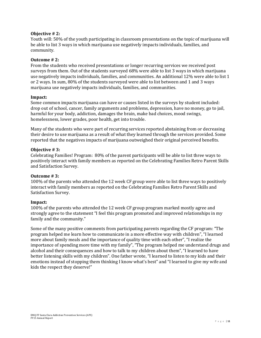#### **Objective # 2:**

Youth will: 50% of the youth participating in classroom presentations on the topic of marijuana will be able to list 3 ways in which marijuana use negatively impacts individuals, families, and community.

#### **Outcome # 2:**

From the students who received presentations or longer recurring services we received post surveys from them. Out of the students surveyed 68% were able to list 3 ways in which marijuana use negatively impacts individuals, families, and communities. An additional 12% were able to list 1 or 2 ways. In sum, 80% of the students surveyed were able to list between and 1 and 3 ways marijuana use negatively impacts individuals, families, and communities.

#### **Impact:**

Some common impacts marijuana can have or causes listed in the surveys by student included: drop out of school, cancer, family arguments and problems, depression, have no money, go to jail, harmful for your body, addiction, damages the brain, make bad choices, mood swings, homelessness, lower grades, poor health, get into trouble.

Many of the students who were part of recurring services reported abstaining from or decreasing their desire to use marijuana as a result of what they learned through the services provided. Some reported that the negatives impacts of marijuana outweighed their original perceived benefits.

#### **Objective # 3:**

Celebrating Families! Program: 80% of the parent participants will be able to list three ways to positively interact with family members as reported on the Celebrating Families Retro Parent Skills and Satisfaction Survey.

#### **Outcome # 3:**

100% of the parents who attended the 12 week CF group were able to list three ways to positively interact with family members as reported on the Celebrating Families Retro Parent Skills and Satisfaction Survey.

#### **Impact:**

100% of the parents who attended the 12 week CF group program marked mostly agree and strongly agree to the statement "I feel this program promoted and improved relationships in my family and the community."

Some of the many positive comments from participating parents regarding the CF program: "The program helped me learn how to communicate in a more effective way with children", "I learned more about family meals and the importance of quality time with each other", "I realize the importance of spending more time with my family", "The program helped me understand drugs and alcohol and their consequences and how to talk to my children about them", "I learned to have better listening skills with my children". One father wrote, "I learned to listen to my kids and their emotions instead of stopping them thinking I know what's best" and "I learned to give my wife and kids the respect they deserve!"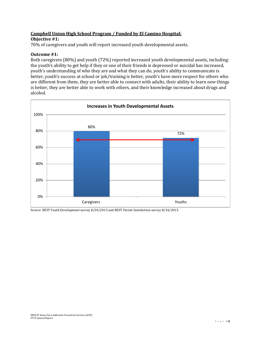# **Campbell Union High School Program / Funded by El Camino Hospital:**

#### **Objective #1:**

70% of caregivers and youth will report increased youth developmental assets.

#### **Outcome #1:**

Both caregivers (80%) and youth (72%) reported increased youth developmental assets, including: the youth's ability to get help if they or one of their friends is depressed or suicidal has increased, youth's understanding of who they are and what they can do, youth's ability to communicate is better, youth's success at school or job/training is better, youth's have more respect for others who are different from them, they are better able to connect with adults, their ability to learn new things is better, they are better able to work with others, and their knowledge increased about drugs and alcohol.



Source: BEST Youth Development survey 8/24/2015 and BEST Parent Satisfaction survey 8/24/2015.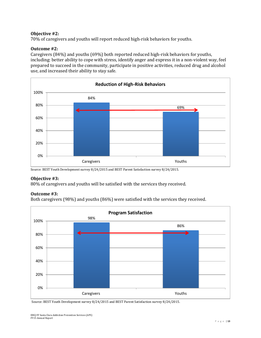#### **Objective #2:**

70% of caregivers and youths will report reduced high-risk behaviors for youths.

#### **Outcome #2:**

Caregivers (84%) and youths (69%) both reported reduced high-risk behaviors for youths, including: better ability to cope with stress, identify anger and express it in a non-violent way, feel prepared to succeed in the community, participate in positive activities, reduced drug and alcohol use, and increased their ability to stay safe.



Source: BEST Youth Development survey 8/24/2015 and BEST Parent Satisfaction survey 8/24/2015.

#### **Objective #3:**

80% of caregivers and youths will be satisfied with the services they received.

## **Outcome #3:**

Both caregivers (98%) and youths (86%) were satisfied with the services they received.



Source: BEST Youth Development survey 8/24/2015 and BEST Parent Satisfaction survey 8/24/2015.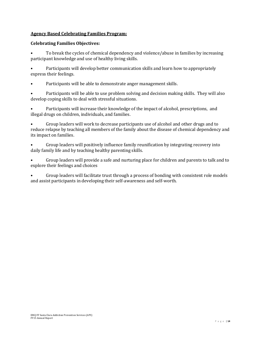## **Agency Based Celebrating Families Program:**

## **Celebrating Families Objectives:**

• To break the cycles of chemical dependency and violence/abuse in families by increasing participant knowledge and use of healthy living skills.

• Participants will develop better communication skills and learn how to appropriately express their feelings.

• Participants will be able to demonstrate anger management skills.

• Participants will be able to use problem solving and decision making skills. They will also develop coping skills to deal with stressful situations.

• Participants will increase their knowledge of the impact of alcohol, prescriptions, and illegal drugs on children, individuals, and families.

• Group leaders will work to decrease participants use of alcohol and other drugs and to reduce relapse by teaching all members of the family about the disease of chemical dependency and its impact on families.

• Group leaders will positively influence family reunification by integrating recovery into daily family life and by teaching healthy parenting skills.

• Group leaders will provide a safe and nurturing place for children and parents to talk and to explore their feelings and choices

• Group leaders will facilitate trust through a process of bonding with consistent role models and assist participants in developing their self-awareness and self-worth.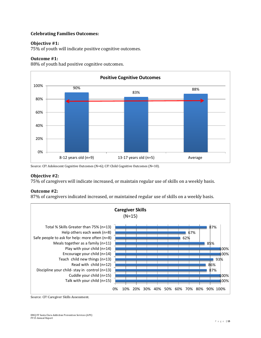#### **Celebrating Families Outcomes:**

#### **Objective #1:**

75% of youth will indicate positive cognitive outcomes.

#### **Outcome #1:**

88% of youth had positive cognitive outcomes.



Source: CF! Adolescent Cognitive Outcomes (N=6); CF! Child Cognitive Outcomes (N=10).

#### **Objective #2:**

75% of caregivers will indicate increased, or maintain regular use of skills on a weekly basis.

#### **Outcome #2:**

87% of caregivers indicated increased, or maintained regular use of skills on a weekly basis.



Source: CF! Caregiver Skills Assessment.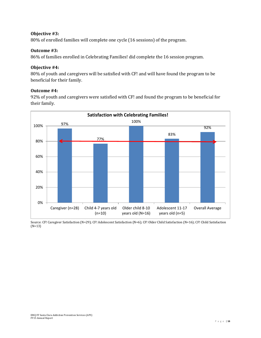## **Objective #3:**

80% of enrolled families will complete one cycle (16 sessions) of the program.

#### **Outcome #3:**

86% of families enrolled in Celebrating Families! did complete the 16 session program.

#### **Objective #4:**

80% of youth and caregivers will be satisfied with CF! and will have found the program to be beneficial for their family.

#### **Outcome #4:**

92% of youth and caregivers were satisfied with CF! and found the program to be beneficial for their family.



Source: CF! Caregiver Satisfaction (N=29); CF! Adolescent Satisfaction (N=6); CF! Older Child Satisfaction (N=16); CF! Child Satisfaction (N=13)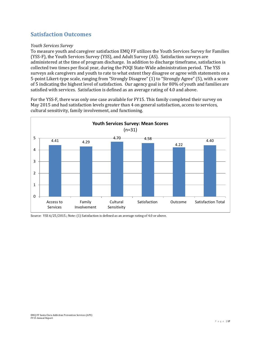# <span id="page-17-0"></span>**Satisfaction Outcomes**

#### *Youth Services Survey*

To measure youth and caregiver satisfaction EMQ FF utilizes the Youth Services Survey for Families (YSS-F), the Youth Services Survey (YSS), and Adult Survey (AS). Satisfaction surveys are administered at the time of program discharge. In addition to discharge timeframe, satisfaction is collected two times per fiscal year, during the POQI State-Wide administration period. The YSS surveys ask caregivers and youth to rate to what extent they disagree or agree with statements on a 5-point Likert-type scale, ranging from "Strongly Disagree" (1) to "Strongly Agree" (5), with a score of 5 indicating the highest level of satisfaction. Our agency goal is for 80% of youth and families are satisfied with services. Satisfaction is defined as an average rating of 4.0 and above.

For the YSS-F, there was only one case available for FY15. This family completed their survey on May 2015 and had satisfaction levels greater than 4 on general satisfaction, access to services, cultural sensitivity, family involvement, and functioning.



Source: YSS 6/25/2015.; Note: (1) Satisfaction is defined as an average rating of 4.0 or above.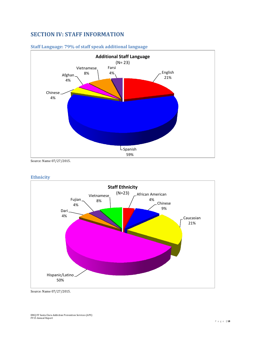# <span id="page-18-0"></span>**SECTION IV: STAFF INFORMATION**



#### **Staff Language: 79% of staff speak additional language**

Source: Name 07/27/2015.

#### **Ethnicity**



Source: Name 07/27/2015.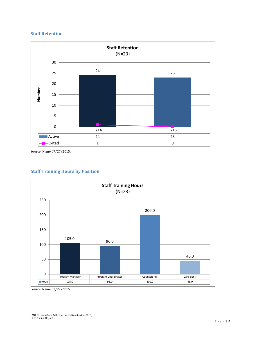#### **Staff Retention**



Source: Name 07/27/2015.

## **Staff Training Hours by Position**



Source: Name 07/27/2015.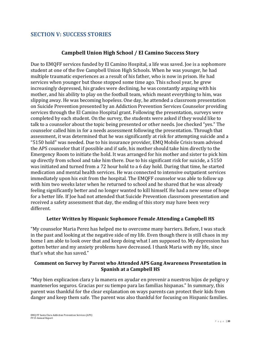# <span id="page-20-0"></span>**SECTION V: SUCCESS STORIES**

# **Campbell Union High School / El Camino Success Story**

Due to EMQFF services funded by El Camino Hospital, a life was saved. Joe is a sophomore student at one of the five Campbell Union High Schools. When he was younger, he had multiple traumatic experiences as a result of his father, who is now in prison. He had services when younger but those stopped some time ago. This school year, he grew increasingly depressed, his grades were declining, he was constantly arguing with his mother, and his ability to play on the football team, which meant everything to him, was slipping away. He was becoming hopeless. One day, he attended a classroom presentation on Suicide Prevention presented by an Addiction Prevention Services Counselor providing services through the El Camino Hospital grant. Following the presentation, surveys were completed by each student. On the survey, the students were asked if they would like to talk to a counselor about the topic being presented or other needs. Joe checked "yes." The counselor called him in for a needs assessment following the presentation. Through that assessment, it was determined that he was significantly at risk for attempting suicide and a "5150 hold" was needed. Due to his insurance provider, EMQ Mobile Crisis team advised the APS counselor that if possible and if safe, his mother should take him directly to the Emergency Room to initiate the hold. It was arranged for his mother and sister to pick him up directly from school and take him there. Due to his significant risk for suicide, a 5150 was initiated and turned from a 72 hour hold to a 6 day hold. During that time, he started medication and mental health services. He was connected to intensive outpatient services immediately upon his exit from the hospital. The EMQFF counselor was able to follow up with him two weeks later when he returned to school and he shared that he was already feeling significantly better and no longer wanted to kill himself. He had a new sense of hope for a better life. If Joe had not attended that Suicide Prevention classroom presentation and received a safety assessment that day, the ending of this story may have been very different.

## **Letter Written by Hispanic Sophomore Female Attending a Campbell HS**

"My counselor Maria Perez has helped me to overcome many barriers. Before, I was stuck in the past and looking at the negative side of my life. Even though there is still chaos in my home I am able to look over that and keep doing what I am supposed to. My depression has gotten better and my anxiety problems have decreased. I thank Maria with my life, since that's what she has saved."

## **Comment on Survey by Parent who Attended APS Gang Awareness Presentation in Spanish at a Campbell HS**

"Muy bien explicacion clara y la manera en ayudar en prevenir a nuestros hijos de peligro y mantenerlos seguros. Gracias por su tiempo para las familias hispanas." In summary, this parent was thankful for the clear explanation on ways parents can protect their kids from danger and keep them safe. The parent was also thankful for focusing on Hispanic families.